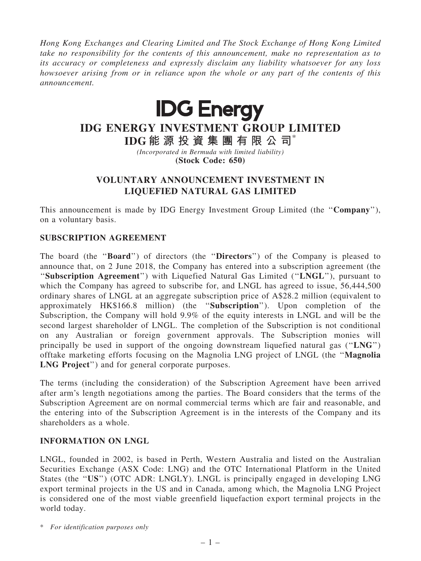Hong Kong Exchanges and Clearing Limited and The Stock Exchange of Hong Kong Limited take no responsibility for the contents of this announcement, make no representation as to its accuracy or completeness and expressly disclaim any liability whatsoever for any loss howsoever arising from or in reliance upon the whole or any part of the contents of this announcement.



# IDG ENERGY INVESTMENT GROUP LIMITED

IDG 能 源 投 資 集 團 有 限 公 司\* (Incorporated in Bermuda with limited liability) (Stock Code: 650)

## VOLUNTARY ANNOUNCEMENT INVESTMENT IN LIQUEFIED NATURAL GAS LIMITED

This announcement is made by IDG Energy Investment Group Limited (the ''Company''), on a voluntary basis.

#### SUBSCRIPTION AGREEMENT

The board (the ''Board'') of directors (the ''Directors'') of the Company is pleased to announce that, on 2 June 2018, the Company has entered into a subscription agreement (the "Subscription Agreement") with Liquefied Natural Gas Limited ("LNGL"), pursuant to which the Company has agreed to subscribe for, and LNGL has agreed to issue, 56,444,500 ordinary shares of LNGL at an aggregate subscription price of A\$28.2 million (equivalent to approximately HK\$166.8 million) (the ''Subscription''). Upon completion of the Subscription, the Company will hold 9.9% of the equity interests in LNGL and will be the second largest shareholder of LNGL. The completion of the Subscription is not conditional on any Australian or foreign government approvals. The Subscription monies will principally be used in support of the ongoing downstream liquefied natural gas (" $LNG$ ") offtake marketing efforts focusing on the Magnolia LNG project of LNGL (the ''Magnolia LNG Project'') and for general corporate purposes.

The terms (including the consideration) of the Subscription Agreement have been arrived after arm's length negotiations among the parties. The Board considers that the terms of the Subscription Agreement are on normal commercial terms which are fair and reasonable, and the entering into of the Subscription Agreement is in the interests of the Company and its shareholders as a whole.

#### INFORMATION ON LNGL

LNGL, founded in 2002, is based in Perth, Western Australia and listed on the Australian Securities Exchange (ASX Code: LNG) and the OTC International Platform in the United States (the "US") (OTC ADR: LNGLY). LNGL is principally engaged in developing LNG export terminal projects in the US and in Canada, among which, the Magnolia LNG Project is considered one of the most viable greenfield liquefaction export terminal projects in the world today.

\* For identification purposes only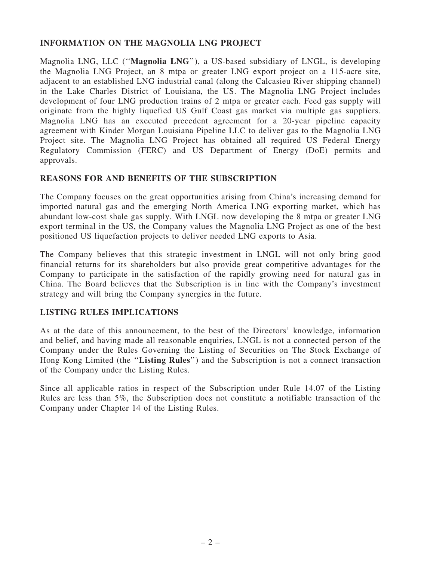### INFORMATION ON THE MAGNOLIA LNG PROJECT

Magnolia LNG, LLC (''Magnolia LNG''), a US-based subsidiary of LNGL, is developing the Magnolia LNG Project, an 8 mtpa or greater LNG export project on a 115-acre site, adjacent to an established LNG industrial canal (along the Calcasieu River shipping channel) in the Lake Charles District of Louisiana, the US. The Magnolia LNG Project includes development of four LNG production trains of 2 mtpa or greater each. Feed gas supply will originate from the highly liquefied US Gulf Coast gas market via multiple gas suppliers. Magnolia LNG has an executed precedent agreement for a 20-year pipeline capacity agreement with Kinder Morgan Louisiana Pipeline LLC to deliver gas to the Magnolia LNG Project site. The Magnolia LNG Project has obtained all required US Federal Energy Regulatory Commission (FERC) and US Department of Energy (DoE) permits and approvals.

#### REASONS FOR AND BENEFITS OF THE SUBSCRIPTION

The Company focuses on the great opportunities arising from China's increasing demand for imported natural gas and the emerging North America LNG exporting market, which has abundant low-cost shale gas supply. With LNGL now developing the 8 mtpa or greater LNG export terminal in the US, the Company values the Magnolia LNG Project as one of the best positioned US liquefaction projects to deliver needed LNG exports to Asia.

The Company believes that this strategic investment in LNGL will not only bring good financial returns for its shareholders but also provide great competitive advantages for the Company to participate in the satisfaction of the rapidly growing need for natural gas in China. The Board believes that the Subscription is in line with the Company's investment strategy and will bring the Company synergies in the future.

#### LISTING RULES IMPLICATIONS

As at the date of this announcement, to the best of the Directors' knowledge, information and belief, and having made all reasonable enquiries, LNGL is not a connected person of the Company under the Rules Governing the Listing of Securities on The Stock Exchange of Hong Kong Limited (the ''Listing Rules'') and the Subscription is not a connect transaction of the Company under the Listing Rules.

Since all applicable ratios in respect of the Subscription under Rule 14.07 of the Listing Rules are less than 5%, the Subscription does not constitute a notifiable transaction of the Company under Chapter 14 of the Listing Rules.